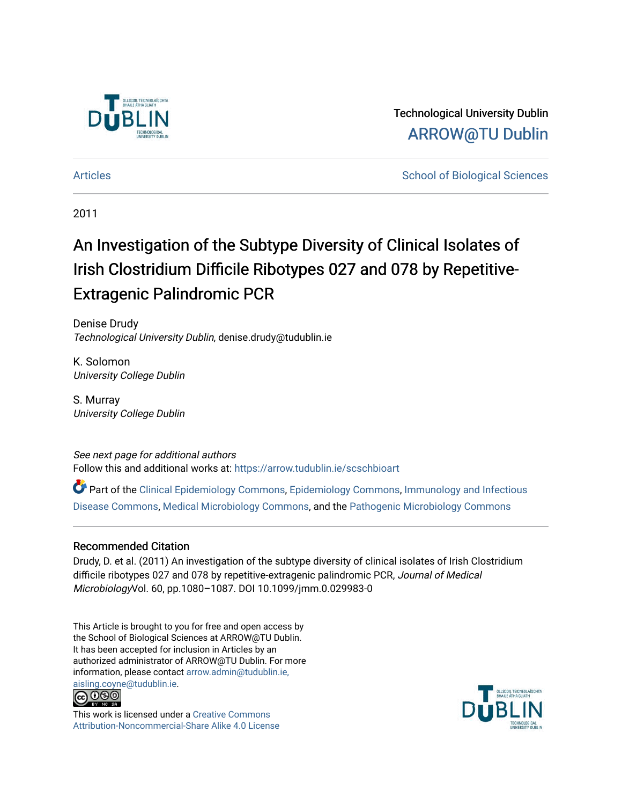

Technological University Dublin [ARROW@TU Dublin](https://arrow.tudublin.ie/) 

[Articles](https://arrow.tudublin.ie/scschbioart) **School of Biological Sciences** School of Biological Sciences

2011

# An Investigation of the Subtype Diversity of Clinical Isolates of Irish Clostridium Difficile Ribotypes 027 and 078 by Repetitive-Extragenic Palindromic PCR

Denise Drudy Technological University Dublin, denise.drudy@tudublin.ie

K. Solomon University College Dublin

S. Murray University College Dublin

See next page for additional authors Follow this and additional works at: [https://arrow.tudublin.ie/scschbioart](https://arrow.tudublin.ie/scschbioart?utm_source=arrow.tudublin.ie%2Fscschbioart%2F130&utm_medium=PDF&utm_campaign=PDFCoverPages)

Part of the [Clinical Epidemiology Commons,](http://network.bepress.com/hgg/discipline/815?utm_source=arrow.tudublin.ie%2Fscschbioart%2F130&utm_medium=PDF&utm_campaign=PDFCoverPages) [Epidemiology Commons,](http://network.bepress.com/hgg/discipline/740?utm_source=arrow.tudublin.ie%2Fscschbioart%2F130&utm_medium=PDF&utm_campaign=PDFCoverPages) [Immunology and Infectious](http://network.bepress.com/hgg/discipline/33?utm_source=arrow.tudublin.ie%2Fscschbioart%2F130&utm_medium=PDF&utm_campaign=PDFCoverPages) [Disease Commons,](http://network.bepress.com/hgg/discipline/33?utm_source=arrow.tudublin.ie%2Fscschbioart%2F130&utm_medium=PDF&utm_campaign=PDFCoverPages) [Medical Microbiology Commons](http://network.bepress.com/hgg/discipline/672?utm_source=arrow.tudublin.ie%2Fscschbioart%2F130&utm_medium=PDF&utm_campaign=PDFCoverPages), and the [Pathogenic Microbiology Commons](http://network.bepress.com/hgg/discipline/52?utm_source=arrow.tudublin.ie%2Fscschbioart%2F130&utm_medium=PDF&utm_campaign=PDFCoverPages)

#### Recommended Citation

Drudy, D. et al. (2011) An investigation of the subtype diversity of clinical isolates of Irish Clostridium difficile ribotypes 027 and 078 by repetitive-extragenic palindromic PCR, Journal of Medical MicrobiologyVol. 60, pp.1080–1087. DOI 10.1099/jmm.0.029983-0

This Article is brought to you for free and open access by the School of Biological Sciences at ARROW@TU Dublin. It has been accepted for inclusion in Articles by an authorized administrator of ARROW@TU Dublin. For more information, please contact [arrow.admin@tudublin.ie,](mailto:arrow.admin@tudublin.ie,%20aisling.coyne@tudublin.ie)  [aisling.coyne@tudublin.ie.](mailto:arrow.admin@tudublin.ie,%20aisling.coyne@tudublin.ie)<br>@009



This work is licensed under a [Creative Commons](http://creativecommons.org/licenses/by-nc-sa/4.0/) [Attribution-Noncommercial-Share Alike 4.0 License](http://creativecommons.org/licenses/by-nc-sa/4.0/)

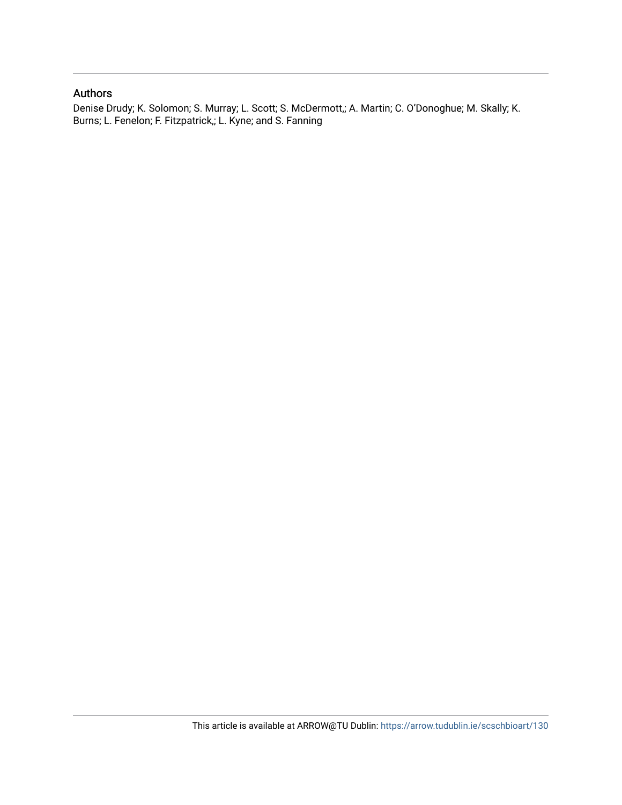#### Authors

Denise Drudy; K. Solomon; S. Murray; L. Scott; S. McDermott,; A. Martin; C. O'Donoghue; M. Skally; K. Burns; L. Fenelon; F. Fitzpatrick,; L. Kyne; and S. Fanning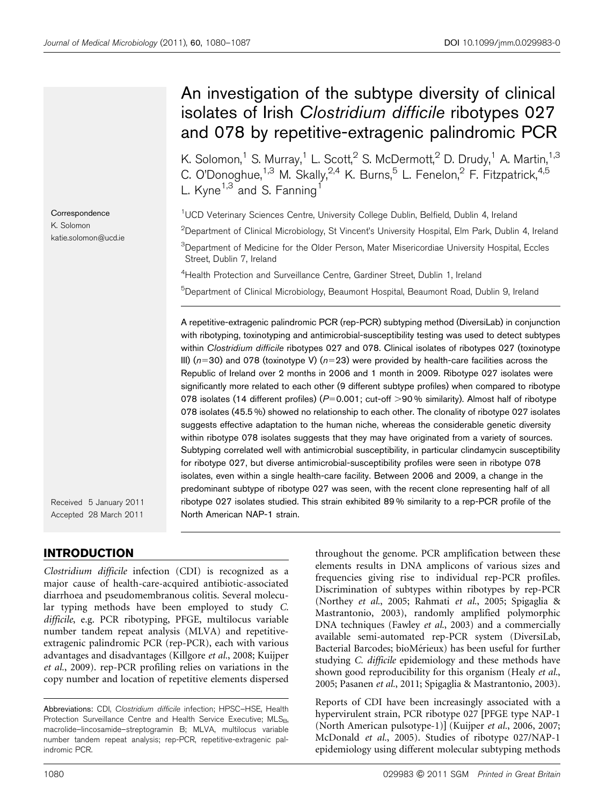## An investigation of the subtype diversity of clinical isolates of Irish Clostridium difficile ribotypes 027 and 078 by repetitive-extragenic palindromic PCR

K. Solomon,<sup>1</sup> S. Murray,<sup>1</sup> L. Scott,<sup>2</sup> S. McDermott,<sup>2</sup> D. Drudy,<sup>1</sup> A. Martin,<sup>1,3</sup> C. O'Donoghue,<sup>1,3</sup> M. Skally,<sup>2,4</sup> K. Burns,<sup>5</sup> L. Fenelon,<sup>2</sup> F. Fitzpatrick,<sup>4,5</sup> L. Kyne $^{1,3}$  and S. Fanning<sup>1</sup>

<sup>1</sup>UCD Veterinary Sciences Centre, University College Dublin, Belfield, Dublin 4, Ireland

 $^{2}$ Department of Clinical Microbiology, St Vincent's University Hospital, Elm Park, Dublin 4, Ireland

<sup>3</sup>Department of Medicine for the Older Person, Mater Misericordiae University Hospital, Eccles Street, Dublin 7, Ireland

<sup>4</sup>Health Protection and Surveillance Centre, Gardiner Street, Dublin 1, Ireland

5 Department of Clinical Microbiology, Beaumont Hospital, Beaumont Road, Dublin 9, Ireland

A repetitive-extragenic palindromic PCR (rep-PCR) subtyping method (DiversiLab) in conjunction with ribotyping, toxinotyping and antimicrobial-susceptibility testing was used to detect subtypes within Clostridium difficile ribotypes 027 and 078. Clinical isolates of ribotypes 027 (toxinotype III) ( $n=30$ ) and 078 (toxinotype V) ( $n=23$ ) were provided by health-care facilities across the Republic of Ireland over 2 months in 2006 and 1 month in 2009. Ribotype 027 isolates were significantly more related to each other (9 different subtype profiles) when compared to ribotype 078 isolates (14 different profiles) ( $P=0.001$ ; cut-off  $>90\%$  similarity). Almost half of ribotype 078 isolates (45.5 %) showed no relationship to each other. The clonality of ribotype 027 isolates suggests effective adaptation to the human niche, whereas the considerable genetic diversity within ribotype 078 isolates suggests that they may have originated from a variety of sources. Subtyping correlated well with antimicrobial susceptibility, in particular clindamycin susceptibility for ribotype 027, but diverse antimicrobial-susceptibility profiles were seen in ribotype 078 isolates, even within a single health-care facility. Between 2006 and 2009, a change in the predominant subtype of ribotype 027 was seen, with the recent clone representing half of all ribotype 027 isolates studied. This strain exhibited 89 % similarity to a rep-PCR profile of the North American NAP-1 strain.

Received 5 January 2011 Accepted 28 March 2011

**Correspondence** K. Solomon

katie.solomon@ucd.ie

#### INTRODUCTION

Clostridium difficile infection (CDI) is recognized as a major cause of health-care-acquired antibiotic-associated diarrhoea and pseudomembranous colitis. Several molecular typing methods have been employed to study C. difficile, e.g. PCR ribotyping, PFGE, multilocus variable number tandem repeat analysis (MLVA) and repetitiveextragenic palindromic PCR (rep-PCR), each with various advantages and disadvantages ([Killgore](#page-9-0) et al., 2008; [Kuijper](#page-9-0) et al.[, 2009\)](#page-9-0). rep-PCR profiling relies on variations in the copy number and location of repetitive elements dispersed

throughout the genome. PCR amplification between these elements results in DNA amplicons of various sizes and frequencies giving rise to individual rep-PCR profiles. Discrimination of subtypes within ribotypes by rep-PCR [\(Northey](#page-9-0) et al., 2005; [Rahmati](#page-9-0) et al., 2005; [Spigaglia &](#page-9-0) [Mastrantonio, 2003](#page-9-0)), randomly amplified polymorphic DNA techniques [\(Fawley](#page-9-0) et al., 2003) and a commercially available semi-automated rep-PCR system (DiversiLab, Bacterial Barcodes; bioMérieux) has been useful for further studying C. difficile epidemiology and these methods have shown good reproducibility for this organism ([Healy](#page-9-0) et al., [2005](#page-9-0); [Pasanen](#page-9-0) et al., 2011; [Spigaglia & Mastrantonio, 2003](#page-9-0)).

Reports of CDI have been increasingly associated with a hypervirulent strain, PCR ribotype 027 [PFGE type NAP-1 (North American pulsotype-1)] [\(Kuijper](#page-9-0) et al., 2006, [2007](#page-9-0); [McDonald](#page-9-0) et al., 2005). Studies of ribotype 027/NAP-1 epidemiology using different molecular subtyping methods

Abbreviations: CDI, Clostridium difficile infection: HPSC-HSE, Health Protection Surveillance Centre and Health Service Executive; MLSB, macrolide–lincosamide–streptogramin B; MLVA, multilocus variable number tandem repeat analysis; rep-PCR, repetitive-extragenic palindromic PCR.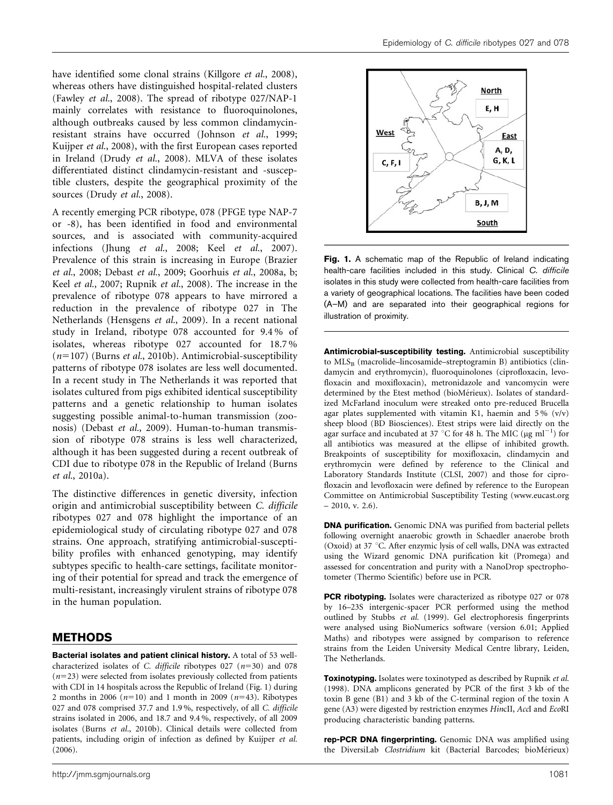have identified some clonal strains ([Killgore](#page-9-0) et al., 2008), whereas others have distinguished hospital-related clusters ([Fawley](#page-9-0) et al., 2008). The spread of ribotype 027/NAP-1 mainly correlates with resistance to fluoroquinolones, although outbreaks caused by less common clindamycinresistant strains have occurred [\(Johnson](#page-9-0) et al., 1999; [Kuijper](#page-9-0) et al., 2008), with the first European cases reported in Ireland (Drudy et al.[, 2008](#page-8-0)). MLVA of these isolates differentiated distinct clindamycin-resistant and -susceptible clusters, despite the geographical proximity of the sources ([Drudy](#page-8-0) et al., 2008).

A recently emerging PCR ribotype, 078 (PFGE type NAP-7 or -8), has been identified in food and environmental sources, and is associated with community-acquired infections (Jhung et al.[, 2008](#page-9-0); Keel et al.[, 2007\)](#page-9-0). Prevalence of this strain is increasing in Europe ([Brazier](#page-8-0) et al.[, 2008](#page-8-0); [Debast](#page-8-0) et al., 2009; [Goorhuis](#page-9-0) et al., 2008a, [b;](#page-9-0) Keel et al.[, 2007; Rupnik](#page-9-0) et al., 2008). The increase in the prevalence of ribotype 078 appears to have mirrored a reduction in the prevalence of ribotype 027 in The Netherlands [\(Hensgens](#page-9-0) et al., 2009). In a recent national study in Ireland, ribotype 078 accounted for 9.4 % of isolates, whereas ribotype 027 accounted for 18.7 %  $(n=107)$  (Burns et al.[, 2010b\)](#page-8-0). Antimicrobial-susceptibility patterns of ribotype 078 isolates are less well documented. In a recent study in The Netherlands it was reported that isolates cultured from pigs exhibited identical susceptibility patterns and a genetic relationship to human isolates suggesting possible animal-to-human transmission (zoonosis) ([Debast](#page-8-0) et al., 2009). Human-to-human transmission of ribotype 078 strains is less well characterized, although it has been suggested during a recent outbreak of CDI due to ribotype 078 in the Republic of Ireland [\(Burns](#page-8-0) et al.[, 2010a\)](#page-8-0).

The distinctive differences in genetic diversity, infection origin and antimicrobial susceptibility between C. difficile ribotypes 027 and 078 highlight the importance of an epidemiological study of circulating ribotype 027 and 078 strains. One approach, stratifying antimicrobial-susceptibility profiles with enhanced genotyping, may identify subtypes specific to health-care settings, facilitate monitoring of their potential for spread and track the emergence of multi-resistant, increasingly virulent strains of ribotype 078 in the human population.

#### METHODS

Bacterial isolates and patient clinical history. A total of 53 wellcharacterized isolates of C. difficile ribotypes 027  $(n=30)$  and 078  $(n=23)$  were selected from isolates previously collected from patients with CDI in 14 hospitals across the Republic of Ireland (Fig. 1) during 2 months in 2006 ( $n=10$ ) and 1 month in 2009 ( $n=43$ ). Ribotypes 027 and 078 comprised 37.7 and 1.9 %, respectively, of all C. difficile strains isolated in 2006, and 18.7 and 9.4 %, respectively, of all 2009 isolates (Burns et al.[, 2010b](#page-8-0)). Clinical details were collected from patients, including origin of infection as defined by [Kuijper](#page-9-0) et al. [\(2006\)](#page-9-0).



Fig. 1. A schematic map of the Republic of Ireland indicating health-care facilities included in this study. Clinical C. difficile isolates in this study were collected from health-care facilities from a variety of geographical locations. The facilities have been coded (A–M) and are separated into their geographical regions for illustration of proximity.

Antimicrobial-susceptibility testing. Antimicrobial susceptibility to  $MLS_B$  (macrolide–lincosamide–streptogramin B) antibiotics (clindamycin and erythromycin), fluoroquinolones (ciprofloxacin, levofloxacin and moxifloxacin), metronidazole and vancomycin were determined by the Etest method (bioMérieux). Isolates of standardized McFarland inoculum were streaked onto pre-reduced Brucella agar plates supplemented with vitamin K1, haemin and  $5\%$  (v/v) sheep blood (BD Biosciences). Etest strips were laid directly on the agar surface and incubated at 37 °C for 48 h. The MIC ( $\mu$ g ml<sup>-1</sup>) for all antibiotics was measured at the ellipse of inhibited growth. Breakpoints of susceptibility for moxifloxacin, clindamycin and erythromycin were defined by reference to the Clinical and Laboratory Standards Institute [\(CLSI, 2007\)](#page-8-0) and those for ciprofloxacin and levofloxacin were defined by reference to the European Committee on Antimicrobial Susceptibility Testing (www.eucast.org  $-2010$ , v. 2.6).

DNA purification. Genomic DNA was purified from bacterial pellets following overnight anaerobic growth in Schaedler anaerobe broth (Oxoid) at 37 °C. After enzymic lysis of cell walls, DNA was extracted using the Wizard genomic DNA purification kit (Promega) and assessed for concentration and purity with a NanoDrop spectrophotometer (Thermo Scientific) before use in PCR.

PCR ribotyping. Isolates were characterized as ribotype 027 or 078 by 16–23S intergenic-spacer PCR performed using the method outlined by [Stubbs](#page-9-0) et al. (1999). Gel electrophoresis fingerprints were analysed using BioNumerics software (version 6.01; Applied Maths) and ribotypes were assigned by comparison to reference strains from the Leiden University Medical Centre library, Leiden, The Netherlands.

**Toxinotyping.** Isolates were toxinotyped as described by [Rupnik](#page-9-0) et al. [\(1998\)](#page-9-0). DNA amplicons generated by PCR of the first 3 kb of the toxin B gene (B1) and 3 kb of the C-terminal region of the toxin A gene (A3) were digested by restriction enzymes HincII, AccI and EcoRI producing characteristic banding patterns.

rep-PCR DNA fingerprinting. Genomic DNA was amplified using the DiversiLab Clostridium kit (Bacterial Barcodes; bioMérieux)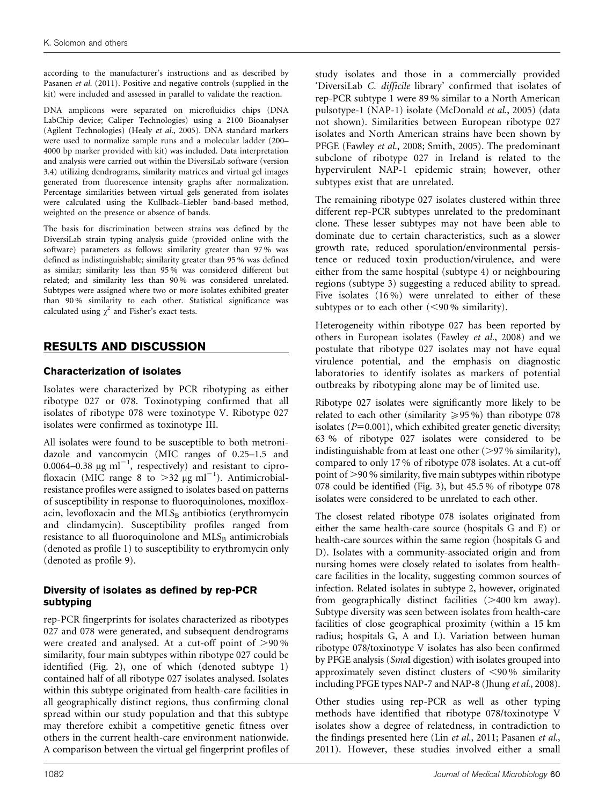according to the manufacturer's instructions and as described by [Pasanen](#page-9-0) et al. (2011). Positive and negative controls (supplied in the kit) were included and assessed in parallel to validate the reaction.

DNA amplicons were separated on microfluidics chips (DNA LabChip device; Caliper Technologies) using a 2100 Bioanalyser (Agilent Technologies) (Healy et al.[, 2005\)](#page-9-0). DNA standard markers were used to normalize sample runs and a molecular ladder (200– 4000 bp marker provided with kit) was included. Data interpretation and analysis were carried out within the DiversiLab software (version 3.4) utilizing dendrograms, similarity matrices and virtual gel images generated from fluorescence intensity graphs after normalization. Percentage similarities between virtual gels generated from isolates were calculated using the Kullback–Liebler band-based method, weighted on the presence or absence of bands.

The basis for discrimination between strains was defined by the DiversiLab strain typing analysis guide (provided online with the software) parameters as follows: similarity greater than 97 % was defined as indistinguishable; similarity greater than 95 % was defined as similar; similarity less than 95 % was considered different but related; and similarity less than 90 % was considered unrelated. Subtypes were assigned where two or more isolates exhibited greater than 90 % similarity to each other. Statistical significance was calculated using  $\chi^2$  and Fisher's exact tests.

### RESULTS AND DISCUSSION

#### Characterization of isolates

Isolates were characterized by PCR ribotyping as either ribotype 027 or 078. Toxinotyping confirmed that all isolates of ribotype 078 were toxinotype V. Ribotype 027 isolates were confirmed as toxinotype III.

All isolates were found to be susceptible to both metronidazole and vancomycin (MIC ranges of 0.25–1.5 and 0.0064–0.38  $\mu$ g ml<sup>-1</sup>, respectively) and resistant to ciprofloxacin (MIC range 8 to  $>32 \mu g$  ml<sup>-1</sup>). Antimicrobialresistance profiles were assigned to isolates based on patterns of susceptibility in response to fluoroquinolones, moxifloxacin, levofloxacin and the  $MLS<sub>B</sub>$  antibiotics (erythromycin and clindamycin). Susceptibility profiles ranged from resistance to all fluoroquinolone and MLSB antimicrobials (denoted as profile 1) to susceptibility to erythromycin only (denoted as profile 9).

#### Diversity of isolates as defined by rep-PCR subtyping

rep-PCR fingerprints for isolates characterized as ribotypes 027 and 078 were generated, and subsequent dendrograms were created and analysed. At a cut-off point of  $>90\%$ similarity, four main subtypes within ribotype 027 could be identified [\(Fig. 2\)](#page-5-0), one of which (denoted subtype 1) contained half of all ribotype 027 isolates analysed. Isolates within this subtype originated from health-care facilities in all geographically distinct regions, thus confirming clonal spread within our study population and that this subtype may therefore exhibit a competitive genetic fitness over others in the current health-care environment nationwide. A comparison between the virtual gel fingerprint profiles of study isolates and those in a commercially provided 'DiversiLab C. difficile library' confirmed that isolates of rep-PCR subtype 1 were 89 % similar to a North American pulsotype-1 (NAP-1) isolate [\(McDonald](#page-9-0) et al., 2005) (data not shown). Similarities between European ribotype 027 isolates and North American strains have been shown by PFGE [\(Fawley](#page-9-0) et al., 2008; [Smith, 2005](#page-9-0)). The predominant subclone of ribotype 027 in Ireland is related to the hypervirulent NAP-1 epidemic strain; however, other subtypes exist that are unrelated.

The remaining ribotype 027 isolates clustered within three different rep-PCR subtypes unrelated to the predominant clone. These lesser subtypes may not have been able to dominate due to certain characteristics, such as a slower growth rate, reduced sporulation/environmental persistence or reduced toxin production/virulence, and were either from the same hospital (subtype 4) or neighbouring regions (subtype 3) suggesting a reduced ability to spread. Five isolates (16%) were unrelated to either of these subtypes or to each other  $(< 90 %$  similarity).

Heterogeneity within ribotype 027 has been reported by others in European isolates [\(Fawley](#page-9-0) et al., 2008) and we postulate that ribotype 027 isolates may not have equal virulence potential, and the emphasis on diagnostic laboratories to identify isolates as markers of potential outbreaks by ribotyping alone may be of limited use.

Ribotype 027 isolates were significantly more likely to be related to each other (similarity  $\geq 95\%$ ) than ribotype 078 isolates ( $P=0.001$ ), which exhibited greater genetic diversity; 63 % of ribotype 027 isolates were considered to be indistinguishable from at least one other  $(>\!\!97\!\%$  similarity), compared to only 17 % of ribotype 078 isolates. At a cut-off point of  $>90\%$  similarity, five main subtypes within ribotype 078 could be identified ([Fig. 3\)](#page-6-0), but 45.5 % of ribotype 078 isolates were considered to be unrelated to each other.

The closest related ribotype 078 isolates originated from either the same health-care source (hospitals G and E) or health-care sources within the same region (hospitals G and D). Isolates with a community-associated origin and from nursing homes were closely related to isolates from healthcare facilities in the locality, suggesting common sources of infection. Related isolates in subtype 2, however, originated from geographically distinct facilities  $(>400 \text{ km}$  away). Subtype diversity was seen between isolates from health-care facilities of close geographical proximity (within a 15 km radius; hospitals G, A and L). Variation between human ribotype 078/toxinotype V isolates has also been confirmed by PFGE analysis (SmaI digestion) with isolates grouped into approximately seven distinct clusters of  $<$ 90% similarity including PFGE types NAP-7 and NAP-8 ([Jhung](#page-9-0) et al., 2008).

Other studies using rep-PCR as well as other typing methods have identified that ribotype 078/toxinotype V isolates show a degree of relatedness, in contradiction to the findings presented here (Lin et al.[, 2011; Pasanen](#page-9-0) et al., [2011](#page-9-0)). However, these studies involved either a small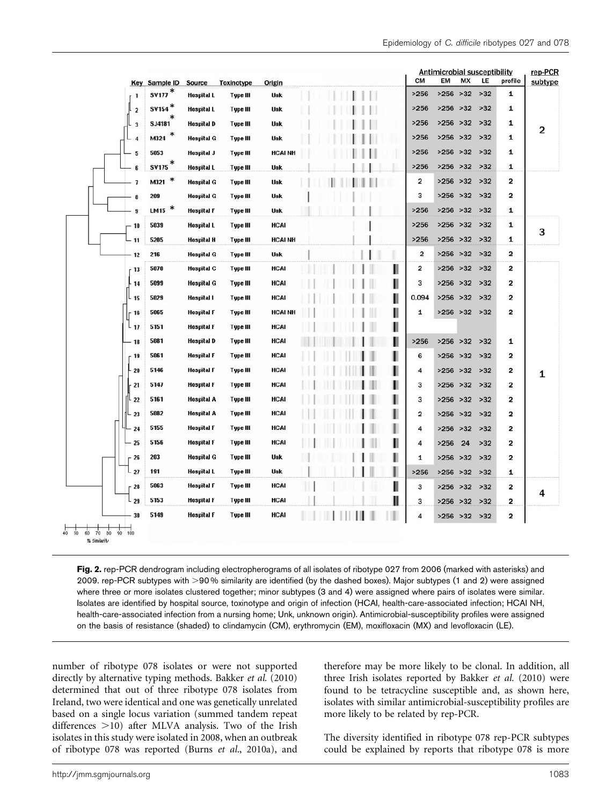<span id="page-5-0"></span>

|                                                         | <b>Key Sample ID</b>     |                             |                        | Origin        |  |   | <b>CM</b>               | <b>Antimicrobial susceptibility</b><br>EM | MX | LE    | profile                 | rep-PCR<br>subtype |
|---------------------------------------------------------|--------------------------|-----------------------------|------------------------|---------------|--|---|-------------------------|-------------------------------------------|----|-------|-------------------------|--------------------|
| 1                                                       | SV177*                   | Source<br><b>Hospital L</b> | Toxinotype<br>Type III | <b>Unk</b>    |  |   | >256                    | $>256$ $>32$                              |    | $>32$ | 1                       |                    |
| $\overline{\mathbf{c}}$                                 | $s$ v <sub>154</sub> $*$ | <b>Hospital L</b>           | <b>Type III</b>        | Unk           |  |   | >256                    | $>256$ $>32$                              |    | $>32$ | 1                       |                    |
| $\overline{\mathbf{3}}$                                 | <b>SJ4181</b>            | <b>Hospital D</b>           | Type III               | <b>Unk</b>    |  |   | >256                    | $>256$ $>32$                              |    | $>32$ | 1                       |                    |
| $\overline{4}$                                          | $\ast$<br>M324           | <b>Hospital G</b>           | Type III               | Unk           |  |   | >256                    | $>256$ $>32$                              |    | $>32$ | 1                       | $\overline{2}$     |
| 5                                                       | 5053                     | <b>Hospital J</b>           | <b>Type III</b>        | <b>HCAINH</b> |  | ī | >256                    | $>256$ $>32$                              |    | $>32$ | 1                       |                    |
| 6                                                       | $s$ v<br>175 $^\ast$     | <b>Hospital L</b>           | Type III               | Unk           |  |   | >256                    | $>256$ $>32$                              |    | $>32$ | 1                       |                    |
| $\overline{\phantom{a}}$                                | $\ast$<br>M321           | <b>Hospital G</b>           | Type III               | Unk           |  |   | 2                       | $>256$ $>32$                              |    | $>32$ | 2                       |                    |
| 8                                                       | 209                      | <b>Hospital G</b>           | Type III               | Unk           |  |   | з                       | $>256$ $>32$                              |    | $>32$ | 2                       |                    |
| $\bf{9}$                                                | LM15 $*$                 | <b>Hospital F</b>           | Type III               | Unk           |  |   | >256                    | $>256$ $>32$                              |    | $>32$ | 1                       |                    |
| - 10                                                    | 5039                     | <b>Hospital L</b>           | Type III               | HCAI          |  |   | >256                    | $>256$ $>32$                              |    | $>32$ | 1                       |                    |
| $-11$                                                   | 5205                     | <b>Hospital H</b>           | Type III               | <b>HCAINH</b> |  |   | >256                    | $>256$ $>32$                              |    | $>32$ | 1                       | 3                  |
| 12                                                      | 216                      | <b>Hospital G</b>           | Type III               | <b>Unk</b>    |  |   | 2                       | $>256$ $>32$                              |    | $>32$ | 2                       |                    |
| 13                                                      | 5070                     | <b>Hospital C</b>           | Type III               | HCAI          |  | Ш | $\overline{\mathbf{2}}$ | $>256$ $>32$                              |    | $>32$ | 2                       |                    |
| 14                                                      | 5099                     | <b>Hospital G</b>           | <b>Type III</b>        | HCAI          |  | I | 3                       | $>256$ $>32$                              |    | $>32$ | 2                       |                    |
| 15                                                      | 5029                     | <b>Hospital I</b>           | Type III               | HCAI          |  | I | 0.094                   | $>256$ $>32$                              |    | $>32$ | 2                       |                    |
| $-16$                                                   | 5065                     | <b>Hospital F</b>           | Type III               | <b>HCAINH</b> |  | Ш | 1                       | $>256$ $>32$                              |    | $>32$ | $\overline{\mathbf{2}}$ |                    |
| 17                                                      | 5151                     | <b>Hospital F</b>           | Type III               | HCAI          |  | Ш |                         |                                           |    |       |                         |                    |
| $-18$                                                   | 5081                     | <b>Hospital D</b>           | <b>Type III</b>        | HCAI          |  | Ш | >256                    | $>256$ $>32$                              |    | $>32$ | 1                       |                    |
| 19                                                      | 5061                     | <b>Hospital F</b>           | Type III               | HCAI          |  | ı | 6                       | $>256$ $>32$                              |    | $>32$ | 2                       |                    |
| 20                                                      | 5146                     | <b>Hospital F</b>           | Type III               | HCAI          |  | п | 4                       | $>256$ $>32$                              |    | $>32$ | 2                       |                    |
| 21                                                      | 5147                     | <b>Hospital F</b>           | <b>Type III</b>        | HCAI          |  | п | з                       | $>256$ $>32$                              |    | $>32$ | 2                       | 1                  |
| 22                                                      | 5161                     | <b>Hospital A</b>           | Type III               | HCAI          |  | ı | 3                       | $>256$ $>32$                              |    | $>32$ | 2                       |                    |
| 23                                                      | 5082                     | <b>Hospital A</b>           | <b>Type III</b>        | HCAI          |  | ı | $\overline{\mathbf{c}}$ | $>256$ $>32$                              |    | $>32$ | 2                       |                    |
| 24                                                      | 5155                     | <b>Hospital F</b>           | Type III               | HCAI          |  |   | 4                       | $>256$ $>32$                              |    | $>32$ | 2                       |                    |
| 25                                                      | 5156                     | <b>Hospital F</b>           | Type III               | HCAI          |  | Ш | 4                       | >256                                      | 24 | $>32$ | $\overline{\mathbf{c}}$ |                    |
| $-26$                                                   | 203                      | <b>Hospital G</b>           | <b>Type III</b>        | Unk           |  |   | 1                       | $>256$ $>32$                              |    | $>32$ | 2                       |                    |
| $-27$                                                   | 191                      | <b>Hospital L</b>           | Type III               | Unk           |  |   | >256                    | $>256$ $>32$                              |    | $>32$ | 1                       |                    |
| 28                                                      | 5063                     | <b>Hospital F</b>           | <b>Type III</b>        | HCAI          |  | Ш | 3                       | $>256$ $>32$                              |    | $>32$ | 2                       |                    |
| $L_{29}$                                                | 5153                     | <b>Hospital F</b>           | Type III               | HCAI          |  | Ш | з                       | $>256$ $>32$                              |    | $>32$ | 2                       | 4                  |
| 30                                                      | 5149                     | <b>Hospital F</b>           | Type III               | HCAI          |  |   | 4                       | $>256$ $>32$                              |    | $>32$ | 2                       |                    |
| 50<br>70<br>80<br>60<br>90<br>64<br>100<br>% Similarity |                          |                             |                        |               |  |   |                         |                                           |    |       |                         |                    |

Fig. 2. rep-PCR dendrogram including electropherograms of all isolates of ribotype 027 from 2006 (marked with asterisks) and 2009. rep-PCR subtypes with >90% similarity are identified (by the dashed boxes). Major subtypes (1 and 2) were assigned where three or more isolates clustered together; minor subtypes (3 and 4) were assigned where pairs of isolates were similar. Isolates are identified by hospital source, toxinotype and origin of infection (HCAI, health-care-associated infection; HCAI NH, health-care-associated infection from a nursing home; Unk, unknown origin). Antimicrobial-susceptibility profiles were assigned on the basis of resistance (shaded) to clindamycin (CM), erythromycin (EM), moxifloxacin (MX) and levofloxacin (LE).

number of ribotype 078 isolates or were not supported directly by alternative typing methods. [Bakker](#page-8-0) et al. (2010) determined that out of three ribotype 078 isolates from Ireland, two were identical and one was genetically unrelated based on a single locus variation (summed tandem repeat differences  $>10$ ) after MLVA analysis. Two of the Irish isolates in this study were isolated in 2008, when an outbreak of ribotype 078 was reported (Burns et al.[, 2010a](#page-8-0)), and therefore may be more likely to be clonal. In addition, all three Irish isolates reported by [Bakker](#page-8-0) et al. (2010) were found to be tetracycline susceptible and, as shown here, isolates with similar antimicrobial-susceptibility profiles are more likely to be related by rep-PCR.

The diversity identified in ribotype 078 rep-PCR subtypes could be explained by reports that ribotype 078 is more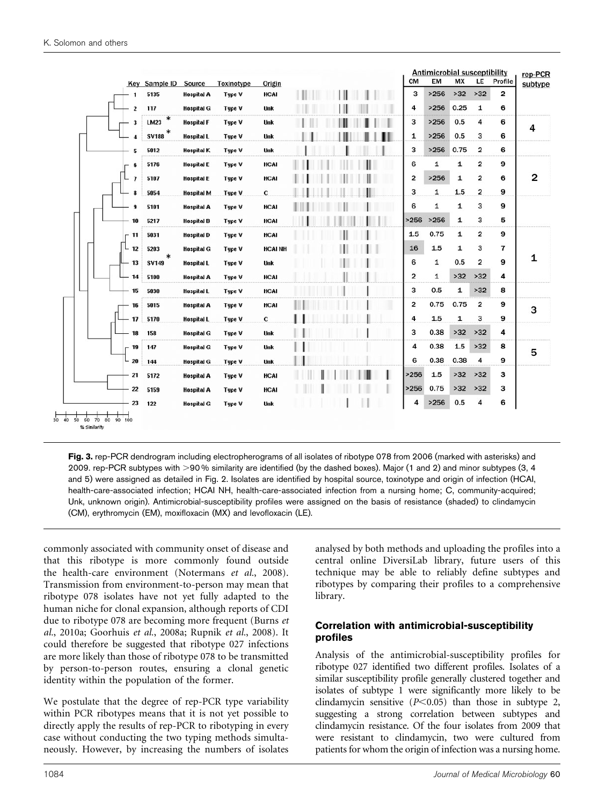<span id="page-6-0"></span>

|                                                                                | Key Sample ID   | Source            | Toxinotype | Origin        |  |  | <b>CM</b>      | <b>Antimicrobial susceptibility</b><br>EM | <b>MX</b>    | LE                      | Profile | rep-PCR<br>subtype |
|--------------------------------------------------------------------------------|-----------------|-------------------|------------|---------------|--|--|----------------|-------------------------------------------|--------------|-------------------------|---------|--------------------|
| 1                                                                              | 5135            | <b>Hospital A</b> | Type V     | <b>HCAI</b>   |  |  | з              | >256                                      | $>32$        | $>32$                   | 2       |                    |
| $\overline{2}$                                                                 | 117             | <b>Hospital G</b> | Type V     | Unk           |  |  | 4              | >256                                      | 0.25         | 1                       | 6       |                    |
| 3                                                                              | $\ast$<br>LM23  | <b>Hospital F</b> | Type V     | <b>Unk</b>    |  |  | 3              | >256                                      | 0.5          | 4                       | 6       |                    |
| 4                                                                              | <b>SV188</b>    | <b>Hospital L</b> | Type V     | Unk           |  |  | 1              | >256                                      | 0.5          | 3                       | 6       | 4                  |
| 5                                                                              | 5012            | <b>Hospital K</b> | Type V     | Unk           |  |  | з              | >256                                      | 0.75         | $\overline{\mathbf{2}}$ | 6       |                    |
| 6                                                                              | 5176            | <b>Hospital E</b> | Type V     | <b>HCAI</b>   |  |  | 6              | 1                                         | 1            | $\overline{\mathbf{2}}$ | 9       |                    |
| $\overline{\phantom{a}}$                                                       | 5107            | <b>Hospital E</b> | Type V     | <b>HCAI</b>   |  |  | 2              | >256                                      | 1            | $\overline{\mathbf{2}}$ | 6       | $\overline{2}$     |
| 8                                                                              | 5054            | <b>Hospital M</b> | Type V     | c             |  |  | з              | 1                                         | 1.5          | $\overline{\mathbf{2}}$ | 9       |                    |
| 9                                                                              | 5101            | <b>Hospital A</b> | Type V     | <b>HCAI</b>   |  |  | 6              | $\mathbf{1}$                              | 1            | 3                       | 9       |                    |
| 10                                                                             | 5217            | <b>Hospital B</b> | Type V     | <b>HCAI</b>   |  |  | >256           | >256                                      | 1            | 3                       | 5       |                    |
| 11                                                                             | 5031            | <b>Hospital D</b> | Type V     | <b>HCAI</b>   |  |  | 1.5            | 0.75                                      | 1            | $\overline{\mathbf{2}}$ | 9       |                    |
| $-12$                                                                          | 5203            | <b>Hospital G</b> | Type V     | <b>HCAINH</b> |  |  | 16             | 1.5                                       | 1            | 3                       | 7       |                    |
| 13                                                                             | $\ast$<br>SV149 | <b>Hospital L</b> | Type V     | Unk           |  |  | 6              | 1                                         | 0.5          | $\overline{\mathbf{2}}$ | 9       | 1                  |
| 14                                                                             | 5100            | <b>Hospital A</b> | Type V     | <b>HCAI</b>   |  |  | $\overline{2}$ | $\mathbf{1}$                              | $>32$        | $>32$                   | 4       |                    |
| 15                                                                             | 5030            | <b>Hospital L</b> | Type V     | <b>HCAI</b>   |  |  | 3              | 0.5                                       | 1            | $>32$                   | 8       |                    |
| 16                                                                             | 5015            | <b>Hospital A</b> | Type V     | <b>HCAI</b>   |  |  | $\overline{2}$ | 0.75                                      | 0.75         | $\overline{\mathbf{2}}$ | 9       |                    |
| 17 <sup>1</sup>                                                                | 5170            | <b>Hospital L</b> | Type V     | c             |  |  | 4              | 1.5                                       | $\mathbf{1}$ | 3                       | 9       | 3                  |
| 18                                                                             | 158             | <b>Hospital G</b> | Type V     | <b>Unk</b>    |  |  | з              | 0.38                                      | $>32$        | $>32$                   | 4       |                    |
| - 19                                                                           | 147             | <b>Hospital G</b> | Type V     | Unk           |  |  | 4              | 0.38                                      | 1.5          | $>32$                   | 8       |                    |
| $-20$                                                                          | 144             | <b>Hospital G</b> | Type V     | Unk           |  |  | 6              | 0.38                                      | 0.38         | 4                       | 9       | 5                  |
| 21                                                                             | 5172            | <b>Hospital A</b> | Type V     | HCAI          |  |  | >256           | 1.5                                       | $>32$        | $>32$                   | З       |                    |
| 22                                                                             | 5159            | <b>Hospital A</b> | Type V     | <b>HCAI</b>   |  |  | >256           | 0.75                                      | $>32$        | $>32$                   | з       |                    |
| 23                                                                             | 122             | <b>Hospital G</b> | Type V     | Unk           |  |  | 4              | >256                                      | 0.5          | 4                       | 6       |                    |
| $\dot{\mathbf{50}}$<br>60<br>70<br>30<br>50<br>90<br>40<br>100<br>% Similarity |                 |                   |            |               |  |  |                |                                           |              |                         |         |                    |

Fig. 3. rep-PCR dendrogram including electropherograms of all isolates of ribotype 078 from 2006 (marked with asterisks) and 2009. rep-PCR subtypes with >90% similarity are identified (by the dashed boxes). Major (1 and 2) and minor subtypes (3, 4 and 5) were assigned as detailed in [Fig. 2.](#page-5-0) Isolates are identified by hospital source, toxinotype and origin of infection (HCAI, health-care-associated infection; HCAI NH, health-care-associated infection from a nursing home; C, community-acquired; Unk, unknown origin). Antimicrobial-susceptibility profiles were assigned on the basis of resistance (shaded) to clindamycin (CM), erythromycin (EM), moxifloxacin (MX) and levofloxacin (LE).

commonly associated with community onset of disease and that this ribotype is more commonly found outside the health-care environment [\(Notermans](#page-9-0) et al., 2008). Transmission from environment-to-person may mean that ribotype 078 isolates have not yet fully adapted to the human niche for clonal expansion, although reports of CDI due to ribotype 078 are becoming more frequent ([Burns](#page-8-0) et al.[, 2010a;](#page-8-0) [Goorhuis](#page-9-0) et al., 2008a; [Rupnik](#page-9-0) et al., 2008). It could therefore be suggested that ribotype 027 infections are more likely than those of ribotype 078 to be transmitted by person-to-person routes, ensuring a clonal genetic identity within the population of the former.

We postulate that the degree of rep-PCR type variability within PCR ribotypes means that it is not yet possible to directly apply the results of rep-PCR to ribotyping in every case without conducting the two typing methods simultaneously. However, by increasing the numbers of isolates

analysed by both methods and uploading the profiles into a central online DiversiLab library, future users of this technique may be able to reliably define subtypes and ribotypes by comparing their profiles to a comprehensive library.

#### Correlation with antimicrobial-susceptibility profiles

Analysis of the antimicrobial-susceptibility profiles for ribotype 027 identified two different profiles. Isolates of a similar susceptibility profile generally clustered together and isolates of subtype 1 were significantly more likely to be clindamycin sensitive  $(P< 0.05)$  than those in subtype 2, suggesting a strong correlation between subtypes and clindamycin resistance. Of the four isolates from 2009 that were resistant to clindamycin, two were cultured from patients for whom the origin of infection was a nursing home.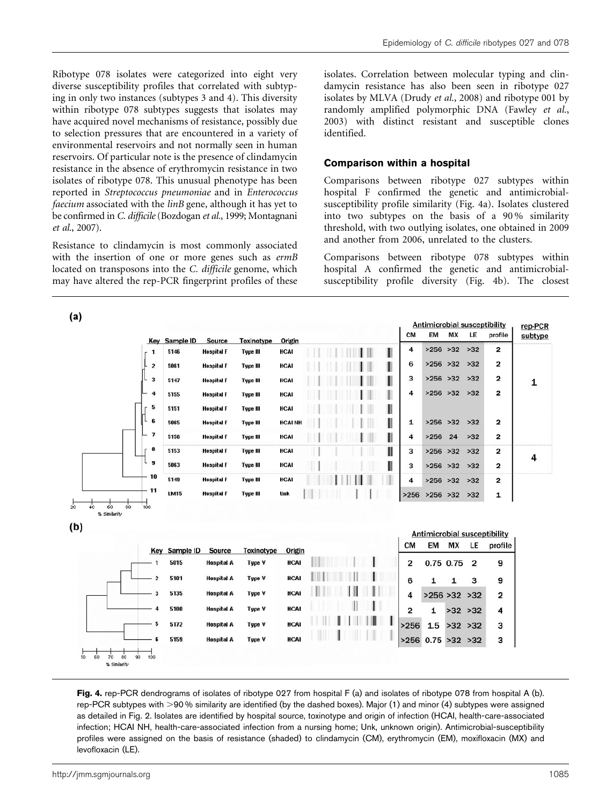Ribotype 078 isolates were categorized into eight very diverse susceptibility profiles that correlated with subtyping in only two instances (subtypes 3 and 4). This diversity within ribotype 078 subtypes suggests that isolates may have acquired novel mechanisms of resistance, possibly due to selection pressures that are encountered in a variety of environmental reservoirs and not normally seen in human reservoirs. Of particular note is the presence of clindamycin resistance in the absence of erythromycin resistance in two isolates of ribotype 078. This unusual phenotype has been reported in Streptococcus pneumoniae and in Enterococcus faecium associated with the *linB* gene, although it has yet to be confirmed in C. difficile [\(Bozdogan](#page-8-0) et al., 1999; [Montagnani](#page-9-0) et al.[, 2007\)](#page-9-0).

Resistance to clindamycin is most commonly associated with the insertion of one or more genes such as ermB located on transposons into the C. difficile genome, which may have altered the rep-PCR fingerprint profiles of these

 $\overline{1}$ 

isolates. Correlation between molecular typing and clindamycin resistance has also been seen in ribotype 027 isolates by MLVA ([Drudy](#page-8-0) et al., 2008) and ribotype 001 by randomly amplified polymorphic DNA [\(Fawley](#page-9-0) et al., [2003\)](#page-9-0) with distinct resistant and susceptible clones identified.

#### Comparison within a hospital

Comparisons between ribotype 027 subtypes within hospital F confirmed the genetic and antimicrobialsusceptibility profile similarity (Fig. 4a). Isolates clustered into two subtypes on the basis of a 90 % similarity threshold, with two outlying isolates, one obtained in 2009 and another from 2006, unrelated to the clusters.

Comparisons between ribotype 078 subtypes within hospital A confirmed the genetic and antimicrobialsusceptibility profile diversity (Fig. 4b). The closest

|                       |                              | Key Sample ID         | Source                                 | <b>Toxinotype</b>           | Origin                     |  |  |   | CM                              | EM                 | MX                 | LE             | <b>Antimicrobial susceptibility</b><br>profile | rep-PCR<br>subtype |
|-----------------------|------------------------------|-----------------------|----------------------------------------|-----------------------------|----------------------------|--|--|---|---------------------------------|--------------------|--------------------|----------------|------------------------------------------------|--------------------|
|                       | $\mathbf{1}$                 | 5146                  | <b>Hospital F</b>                      | Type III                    | <b>HCAI</b>                |  |  |   | 4                               | $>256$ $>32$       |                    | $>32$          | 2                                              |                    |
|                       | $\overline{c}$               | 5061                  | <b>Hospital F</b>                      | <b>Type III</b>             | HCAI                       |  |  |   | 6                               |                    | $>256$ $>32$ $>32$ |                | 2                                              |                    |
|                       | $\overline{\mathbf{3}}$<br>L | 5147                  | <b>Hospital F</b>                      | <b>Type III</b>             | <b>HCAI</b>                |  |  |   | з                               |                    | $>256$ $>32$ $>32$ |                | 2                                              | 1                  |
|                       | 4                            | 5155                  | <b>Hospital F</b>                      | Type III                    | <b>HCAI</b>                |  |  |   | 4                               |                    | $>256$ $>32$ $>32$ |                | 2                                              |                    |
|                       | 5                            | 5151                  | <b>Hospital F</b>                      | Type III                    | <b>HCAI</b>                |  |  | ı |                                 |                    |                    |                |                                                |                    |
|                       | 6                            | 5065                  | <b>Hospital F</b>                      | <b>Type III</b>             | <b>HCAINH</b>              |  |  | Ш | 1                               |                    | $>256$ $>32$       | $>32$          | 2                                              |                    |
|                       | $\overline{\mathbf{z}}$      | 5156                  | <b>Hospital F</b>                      | Type III                    | <b>HCAI</b>                |  |  | ı | 4                               | >256               | 24                 | $>32$          | 2                                              |                    |
|                       | 8                            | 5153                  | <b>Hospital F</b>                      | <b>Type III</b>             | <b>HCAI</b>                |  |  | Ш | з                               | $>256$ $>32$       |                    | $>32$          | $\overline{\mathbf{2}}$                        |                    |
|                       | $\bf{9}$                     | 5063                  | <b>Hospital F</b>                      | Type III                    | HCAI                       |  |  |   | з                               |                    | $>256$ $>32$ $>32$ |                | 2                                              | 4                  |
|                       | 10                           | 5149                  | <b>Hospital F</b>                      | Type III                    | <b>HCAI</b>                |  |  |   | 4                               |                    | $>256$ $>32$ $>32$ |                | $\overline{\mathbf{2}}$                        |                    |
|                       |                              |                       |                                        |                             |                            |  |  |   |                                 |                    |                    |                |                                                |                    |
| $40^{-1}$<br>60<br>80 | 11<br>100                    | <b>LM15</b>           | <b>Hospital F</b>                      | <b>Type III</b>             | Unk                        |  |  |   | >256                            | $>256$ $>32$ $>32$ |                    |                | 1                                              |                    |
| % Similarity          |                              |                       |                                        |                             |                            |  |  |   | <b>CM</b>                       | EM                 | <b>MX</b>          | LE             | <b>Antimicrobial susceptibility</b><br>profile |                    |
|                       | 1                            | Key Sample ID<br>5015 | Source<br><b>Hospital A</b>            | <b>Toxinotype</b><br>Type V | Origin<br><b>HCAI</b>      |  |  |   | $\overline{\mathbf{2}}$         |                    |                    | $\overline{2}$ | 9                                              |                    |
|                       | $\overline{2}$               |                       |                                        |                             |                            |  |  |   |                                 |                    | 0.75 0.75          |                |                                                |                    |
|                       |                              | 5101                  | <b>Hospital A</b>                      | Type V                      | <b>HCAI</b>                |  |  |   | 6                               | 1                  | 1                  | з              | 9                                              |                    |
|                       | 3                            | 5135                  | <b>Hospital A</b>                      | Type V                      | <b>HCAI</b>                |  |  |   | 4                               | >256 > 32 > 32     |                    |                | $\overline{2}$                                 |                    |
|                       | $\boldsymbol{4}$             | 5100                  | <b>Hospital A</b>                      | Type V                      | <b>HCAI</b>                |  |  |   | 2                               | $\mathbf{1}$       | $>32$ $>32$        |                | $\overline{\mathbf{4}}$                        |                    |
|                       | 5<br>6                       | 5172<br>5159          | <b>Hospital A</b><br><b>Hospital A</b> | Type V<br>Type V            | <b>HCAI</b><br><b>HCAI</b> |  |  |   | >256<br>$>256$ 0.75 $>32$ $>32$ | 1.5                | $>32$ $>32$        |                | з<br>з                                         |                    |

Fig. 4. rep-PCR dendrograms of isolates of ribotype 027 from hospital F (a) and isolates of ribotype 078 from hospital A (b). rep-PCR subtypes with >90 % similarity are identified (by the dashed boxes). Major (1) and minor (4) subtypes were assigned as detailed in [Fig. 2.](#page-5-0) Isolates are identified by hospital source, toxinotype and origin of infection (HCAI, health-care-associated infection; HCAI NH, health-care-associated infection from a nursing home; Unk, unknown origin). Antimicrobial-susceptibility profiles were assigned on the basis of resistance (shaded) to clindamycin (CM), erythromycin (EM), moxifloxacin (MX) and levofloxacin (LE).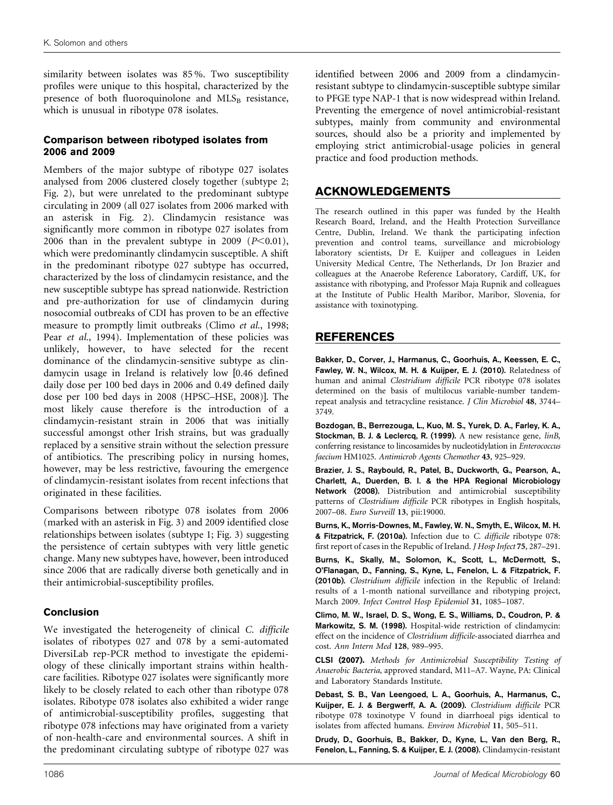<span id="page-8-0"></span>similarity between isolates was 85 %. Two susceptibility profiles were unique to this hospital, characterized by the presence of both fluoroquinolone and  $MLS_B$  resistance, which is unusual in ribotype 078 isolates.

#### Comparison between ribotyped isolates from 2006 and 2009

Members of the major subtype of ribotype 027 isolates analysed from 2006 clustered closely together (subtype 2; [Fig. 2\)](#page-5-0), but were unrelated to the predominant subtype circulating in 2009 (all 027 isolates from 2006 marked with an asterisk in [Fig. 2\)](#page-5-0). Clindamycin resistance was significantly more common in ribotype 027 isolates from 2006 than in the prevalent subtype in 2009 ( $P<0.01$ ), which were predominantly clindamycin susceptible. A shift in the predominant ribotype 027 subtype has occurred, characterized by the loss of clindamycin resistance, and the new susceptible subtype has spread nationwide. Restriction and pre-authorization for use of clindamycin during nosocomial outbreaks of CDI has proven to be an effective measure to promptly limit outbreaks (Climo et al., 1998; Pear et al.[, 1994](#page-9-0)). Implementation of these policies was unlikely, however, to have selected for the recent dominance of the clindamycin-sensitive subtype as clindamycin usage in Ireland is relatively low [0.46 defined daily dose per 100 bed days in 2006 and 0.49 defined daily dose per 100 bed days in 2008 [\(HPSC–HSE, 2008](#page-9-0))]. The most likely cause therefore is the introduction of a clindamycin-resistant strain in 2006 that was initially successful amongst other Irish strains, but was gradually replaced by a sensitive strain without the selection pressure of antibiotics. The prescribing policy in nursing homes, however, may be less restrictive, favouring the emergence of clindamycin-resistant isolates from recent infections that originated in these facilities.

Comparisons between ribotype 078 isolates from 2006 (marked with an asterisk in [Fig. 3\)](#page-6-0) and 2009 identified close relationships between isolates (subtype 1; [Fig. 3\)](#page-6-0) suggesting the persistence of certain subtypes with very little genetic change. Many new subtypes have, however, been introduced since 2006 that are radically diverse both genetically and in their antimicrobial-susceptibility profiles.

#### Conclusion

We investigated the heterogeneity of clinical C. difficile isolates of ribotypes 027 and 078 by a semi-automated DiversiLab rep-PCR method to investigate the epidemiology of these clinically important strains within healthcare facilities. Ribotype 027 isolates were significantly more likely to be closely related to each other than ribotype 078 isolates. Ribotype 078 isolates also exhibited a wider range of antimicrobial-susceptibility profiles, suggesting that ribotype 078 infections may have originated from a variety of non-health-care and environmental sources. A shift in the predominant circulating subtype of ribotype 027 was

identified between 2006 and 2009 from a clindamycinresistant subtype to clindamycin-susceptible subtype similar to PFGE type NAP-1 that is now widespread within Ireland. Preventing the emergence of novel antimicrobial-resistant subtypes, mainly from community and environmental sources, should also be a priority and implemented by employing strict antimicrobial-usage policies in general practice and food production methods.

#### ACKNOWLEDGEMENTS

The research outlined in this paper was funded by the Health Research Board, Ireland, and the Health Protection Surveillance Centre, Dublin, Ireland. We thank the participating infection prevention and control teams, surveillance and microbiology laboratory scientists, Dr E. Kuijper and colleagues in Leiden University Medical Centre, The Netherlands, Dr Jon Brazier and colleagues at the Anaerobe Reference Laboratory, Cardiff, UK, for assistance with ribotyping, and Professor Maja Rupnik and colleagues at the Institute of Public Health Maribor, Maribor, Slovenia, for assistance with toxinotyping.

#### REFERENCES

Bakker, D., Corver, J., Harmanus, C., Goorhuis, A., Keessen, E. C., Fawley, W. N., Wilcox, M. H. & Kuijper, E. J. (2010). Relatedness of human and animal Clostridium difficile PCR ribotype 078 isolates determined on the basis of multilocus variable-number tandemrepeat analysis and tetracycline resistance. J Clin Microbiol 48, 3744– 3749.

Bozdogan, B., Berrezouga, L., Kuo, M. S., Yurek, D. A., Farley, K. A., Stockman, B. J. & Leclercq, R. (1999). A new resistance gene, linB, conferring resistance to lincosamides by nucleotidylation in Enterococcus faecium HM1025. Antimicrob Agents Chemother 43, 925–929.

Brazier, J. S., Raybould, R., Patel, B., Duckworth, G., Pearson, A., Charlett, A., Duerden, B. I. & the HPA Regional Microbiology Network (2008). Distribution and antimicrobial susceptibility patterns of Clostridium difficile PCR ribotypes in English hospitals, 2007–08. Euro Surveill 13, pii:19000.

Burns, K., Morris-Downes, M., Fawley, W. N., Smyth, E., Wilcox, M. H. & Fitzpatrick, F. (2010a). Infection due to C. difficile ribotype 078: first report of cases in the Republic of Ireland. J Hosp Infect 75, 287–291.

Burns, K., Skally, M., Solomon, K., Scott, L., McDermott, S., O'Flanagan, D., Fanning, S., Kyne, L., Fenelon, L. & Fitzpatrick, F. (2010b). Clostridium difficile infection in the Republic of Ireland: results of a 1-month national surveillance and ribotyping project, March 2009. Infect Control Hosp Epidemiol 31, 1085–1087.

Climo, M. W., Israel, D. S., Wong, E. S., Williams, D., Coudron, P. & Markowitz, S. M. (1998). Hospital-wide restriction of clindamycin: effect on the incidence of Clostridium difficile-associated diarrhea and cost. Ann Intern Med 128, 989–995.

CLSI (2007). Methods for Antimicrobial Susceptibility Testing of Anaerobic Bacteria, approved standard, M11–A7. Wayne, PA: Clinical and Laboratory Standards Institute.

Debast, S. B., Van Leengoed, L. A., Goorhuis, A., Harmanus, C., Kuijper, E. J. & Bergwerff, A. A. (2009). Clostridium difficile PCR ribotype 078 toxinotype V found in diarrhoeal pigs identical to isolates from affected humans. Environ Microbiol 11, 505–511.

Drudy, D., Goorhuis, B., Bakker, D., Kyne, L., Van den Berg, R., Fenelon, L., Fanning, S. & Kuijper, E. J. (2008). Clindamycin-resistant